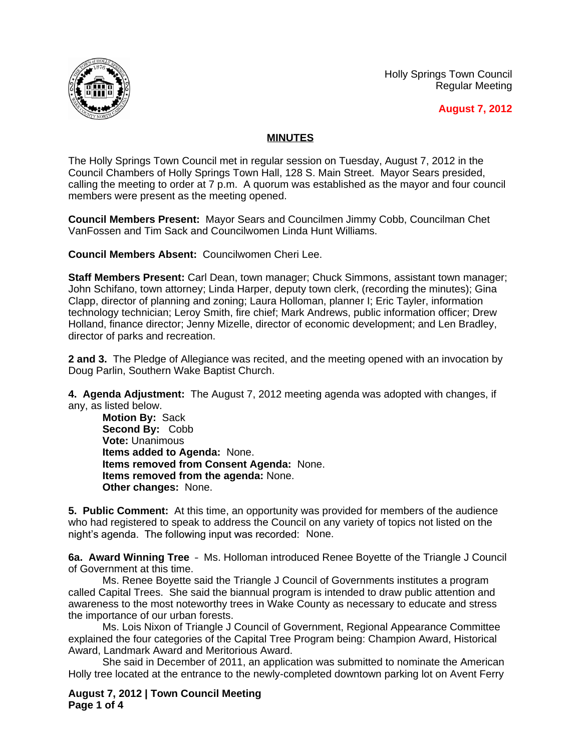Holly Springs Town Council Regular Meeting



**August 7, 2012**

## **MINUTES**

The Holly Springs Town Council met in regular session on Tuesday, August 7, 2012 in the Council Chambers of Holly Springs Town Hall, 128 S. Main Street. Mayor Sears presided, calling the meeting to order at 7 p.m. A quorum was established as the mayor and four council members were present as the meeting opened.

**Council Members Present:** Mayor Sears and Councilmen Jimmy Cobb, Councilman Chet VanFossen and Tim Sack and Councilwomen Linda Hunt Williams.

**Council Members Absent:** Councilwomen Cheri Lee.

**Staff Members Present:** Carl Dean, town manager; Chuck Simmons, assistant town manager; John Schifano, town attorney; Linda Harper, deputy town clerk, (recording the minutes); Gina Clapp, director of planning and zoning; Laura Holloman, planner I; Eric Tayler, information technology technician; Leroy Smith, fire chief; Mark Andrews, public information officer; Drew Holland, finance director; Jenny Mizelle, director of economic development; and Len Bradley, director of parks and recreation.

**2 and 3.** The Pledge of Allegiance was recited, and the meeting opened with an invocation by Doug Parlin, Southern Wake Baptist Church.

**4. Agenda Adjustment:** The August 7, 2012 meeting agenda was adopted with changes, if any, as listed below.

**Motion By:** Sack **Second By:** Cobb **Vote:** Unanimous **Items added to Agenda:** None. **Items removed from Consent Agenda:** None. **Items removed from the agenda:** None. **Other changes:** None.

**5. Public Comment:** At this time, an opportunity was provided for members of the audience who had registered to speak to address the Council on any variety of topics not listed on the night's agenda. The following input was recorded: None.

**6a. Award Winning Tree** – Ms. Holloman introduced Renee Boyette of the Triangle J Council of Government at this time.

Ms. Renee Boyette said the Triangle J Council of Governments institutes a program called Capital Trees. She said the biannual program is intended to draw public attention and awareness to the most noteworthy trees in Wake County as necessary to educate and stress the importance of our urban forests.

Ms. Lois Nixon of Triangle J Council of Government, Regional Appearance Committee explained the four categories of the Capital Tree Program being: Champion Award, Historical Award, Landmark Award and Meritorious Award.

She said in December of 2011, an application was submitted to nominate the American Holly tree located at the entrance to the newly-completed downtown parking lot on Avent Ferry

**August 7, 2012 | Town Council Meeting Page 1 of 4**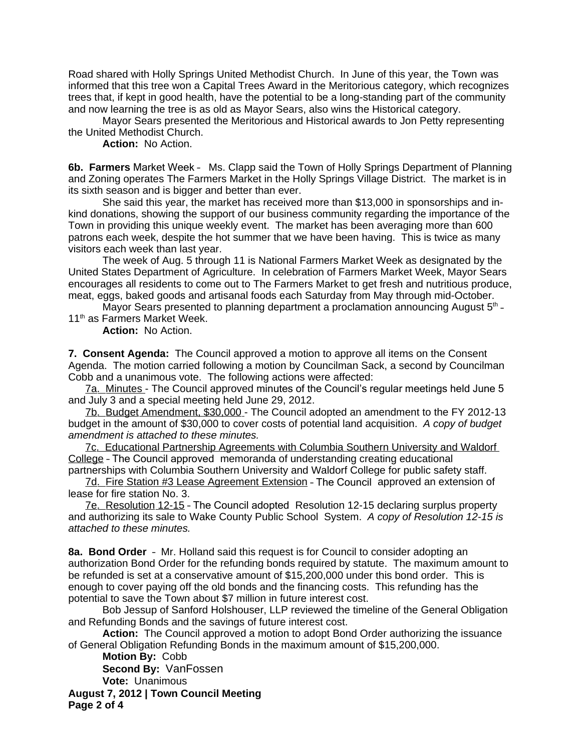Road shared with Holly Springs United Methodist Church. In June of this year, the Town was informed that this tree won a Capital Trees Award in the Meritorious category, which recognizes trees that, if kept in good health, have the potential to be a long-standing part of the community and now learning the tree is as old as Mayor Sears, also wins the Historical category.

Mayor Sears presented the Meritorious and Historical awards to Jon Petty representing the United Methodist Church.

**Action:** No Action.

**6b. Farmers** Market Week – Ms. Clapp said the Town of Holly Springs Department of Planning and Zoning operates The Farmers Market in the Holly Springs Village District. The market is in its sixth season and is bigger and better than ever.

She said this year, the market has received more than \$13,000 in sponsorships and inkind donations, showing the support of our business community regarding the importance of the Town in providing this unique weekly event. The market has been averaging more than 600 patrons each week, despite the hot summer that we have been having. This is twice as many visitors each week than last year.

The week of Aug. 5 through 11 is National Farmers Market Week as designated by the United States Department of Agriculture. In celebration of Farmers Market Week, Mayor Sears encourages all residents to come out to The Farmers Market to get fresh and nutritious produce, meat, eggs, baked goods and artisanal foods each Saturday from May through mid-October.

Mayor Sears presented to planning department a proclamation announcing August  $5<sup>th</sup>$  -11<sup>th</sup> as Farmers Market Week.

**Action:** No Action.

**7. Consent Agenda:** The Council approved a motion to approve all items on the Consent Agenda. The motion carried following a motion by Councilman Sack, a second by Councilman Cobb and a unanimous vote. The following actions were affected:

7a. Minutes - The Council approved minutes of the Council's regular meetings held June 5 and July 3 and a special meeting held June 29, 2012.

7b. Budget Amendment, \$30,000 - The Council adopted an amendment to the FY 2012-13 budget in the amount of \$30,000 to cover costs of potential land acquisition. *A copy of budget amendment is attached to these minutes.*

7c. Educational Partnership Agreements with Columbia Southern University and Waldorf College – The Council approved memoranda of understanding creating educational partnerships with Columbia Southern University and Waldorf College for public safety staff.

7d. Fire Station #3 Lease Agreement Extension – The Council approved an extension of lease for fire station No. 3.

7e. Resolution 12-15 – The Council adopted Resolution 12-15 declaring surplus property and authorizing its sale to Wake County Public School System. *A copy of Resolution 12-15 is attached to these minutes.*

**8a. Bond Order** – Mr. Holland said this request is for Council to consider adopting an authorization Bond Order for the refunding bonds required by statute. The maximum amount to be refunded is set at a conservative amount of \$15,200,000 under this bond order. This is enough to cover paying off the old bonds and the financing costs. This refunding has the potential to save the Town about \$7 million in future interest cost.

Bob Jessup of Sanford Holshouser, LLP reviewed the timeline of the General Obligation and Refunding Bonds and the savings of future interest cost.

**Action:** The Council approved a motion to adopt Bond Order authorizing the issuance of General Obligation Refunding Bonds in the maximum amount of \$15,200,000.

**August 7, 2012 | Town Council Meeting Page 2 of 4 Motion By:** Cobb **Second By:** VanFossen **Vote:** Unanimous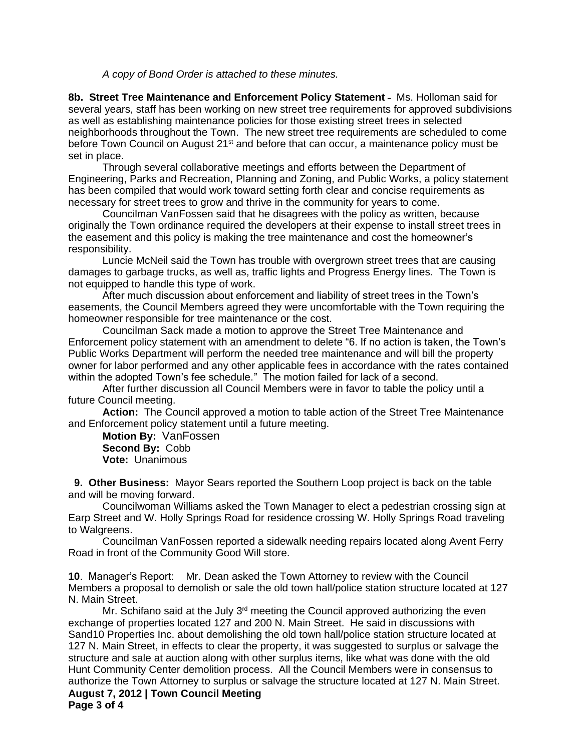*A copy of Bond Order is attached to these minutes.*

**8b. Street Tree Maintenance and Enforcement Policy Statement** – Ms. Holloman said for several years, staff has been working on new street tree requirements for approved subdivisions as well as establishing maintenance policies for those existing street trees in selected neighborhoods throughout the Town. The new street tree requirements are scheduled to come before Town Council on August 21<sup>st</sup> and before that can occur, a maintenance policy must be set in place.

Through several collaborative meetings and efforts between the Department of Engineering, Parks and Recreation, Planning and Zoning, and Public Works, a policy statement has been compiled that would work toward setting forth clear and concise requirements as necessary for street trees to grow and thrive in the community for years to come.

Councilman VanFossen said that he disagrees with the policy as written, because originally the Town ordinance required the developers at their expense to install street trees in the easement and this policy is making the tree maintenance and cost the homeowner's responsibility.

Luncie McNeil said the Town has trouble with overgrown street trees that are causing damages to garbage trucks, as well as, traffic lights and Progress Energy lines. The Town is not equipped to handle this type of work.

After much discussion about enforcement and liability of street trees in the Town's easements, the Council Members agreed they were uncomfortable with the Town requiring the homeowner responsible for tree maintenance or the cost.

Councilman Sack made a motion to approve the Street Tree Maintenance and Enforcement policy statement with an amendment to delete "6. If no action is taken, the Town's Public Works Department will perform the needed tree maintenance and will bill the property owner for labor performed and any other applicable fees in accordance with the rates contained within the adopted Town's fee schedule." The motion failed for lack of a second.

After further discussion all Council Members were in favor to table the policy until a future Council meeting.

**Action:** The Council approved a motion to table action of the Street Tree Maintenance and Enforcement policy statement until a future meeting.

**Motion By:** VanFossen **Second By:** Cobb **Vote:** Unanimous

 **9. Other Business:** Mayor Sears reported the Southern Loop project is back on the table and will be moving forward.

Councilwoman Williams asked the Town Manager to elect a pedestrian crossing sign at Earp Street and W. Holly Springs Road for residence crossing W. Holly Springs Road traveling to Walgreens.

Councilman VanFossen reported a sidewalk needing repairs located along Avent Ferry Road in front of the Community Good Will store.

**10**. Manager's Report: Mr. Dean asked the Town Attorney to review with the Council Members a proposal to demolish or sale the old town hall/police station structure located at 127 N. Main Street.

**August 7, 2012 | Town Council Meeting Page 3 of 4** Mr. Schifano said at the July  $3<sup>rd</sup>$  meeting the Council approved authorizing the even exchange of properties located 127 and 200 N. Main Street. He said in discussions with Sand10 Properties Inc. about demolishing the old town hall/police station structure located at 127 N. Main Street, in effects to clear the property, it was suggested to surplus or salvage the structure and sale at auction along with other surplus items, like what was done with the old Hunt Community Center demolition process. All the Council Members were in consensus to authorize the Town Attorney to surplus or salvage the structure located at 127 N. Main Street.